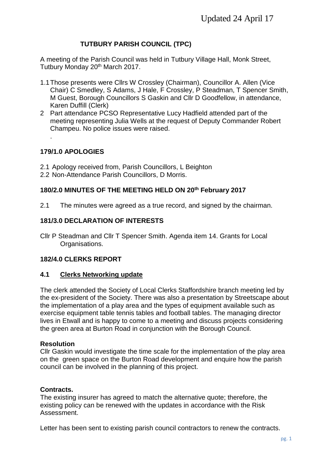# **TUTBURY PARISH COUNCIL (TPC)**

A meeting of the Parish Council was held in Tutbury Village Hall, Monk Street, Tutbury Monday 20<sup>th</sup> March 2017.

- 1.1Those presents were Cllrs W Crossley (Chairman), Councillor A. Allen (Vice Chair) C Smedley, S Adams, J Hale, F Crossley, P Steadman, T Spencer Smith, M Guest, Borough Councillors S Gaskin and Cllr D Goodfellow, in attendance, Karen Duffill (Clerk)
- 2 Part attendance PCSO Representative Lucy Hadfield attended part of the meeting representing Julia Wells at the request of Deputy Commander Robert Champeu. No police issues were raised.

## **179/1.0 APOLOGIES**

.

- 2.1 Apology received from, Parish Councillors, L Beighton
- 2.2 Non-Attendance Parish Councillors, D Morris.

## **180/2.0 MINUTES OF THE MEETING HELD ON 20th February 2017**

2.1 The minutes were agreed as a true record, and signed by the chairman.

## **181/3.0 DECLARATION OF INTERESTS**

Cllr P Steadman and Cllr T Spencer Smith. Agenda item 14. Grants for Local Organisations.

## **182/4.0 CLERKS REPORT**

## **4.1 Clerks Networking update**

The clerk attended the Society of Local Clerks Staffordshire branch meeting led by the ex-president of the Society. There was also a presentation by Streetscape about the implementation of a play area and the types of equipment available such as exercise equipment table tennis tables and football tables. The managing director lives in Etwall and is happy to come to a meeting and discuss projects considering the green area at Burton Road in conjunction with the Borough Council.

## **Resolution**

Cllr Gaskin would investigate the time scale for the implementation of the play area on the green space on the Burton Road development and enquire how the parish council can be involved in the planning of this project.

## **Contracts.**

The existing insurer has agreed to match the alternative quote; therefore, the existing policy can be renewed with the updates in accordance with the Risk Assessment.

Letter has been sent to existing parish council contractors to renew the contracts.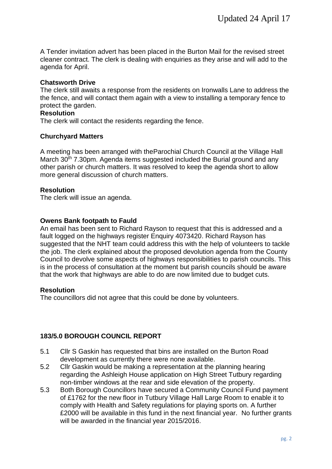A Tender invitation advert has been placed in the Burton Mail for the revised street cleaner contract. The clerk is dealing with enquiries as they arise and will add to the agenda for April.

## **Chatsworth Drive**

The clerk still awaits a response from the residents on Ironwalls Lane to address the the fence, and will contact them again with a view to installing a temporary fence to protect the garden.

### **Resolution**

The clerk will contact the residents regarding the fence.

## **Churchyard Matters**

A meeting has been arranged with theParochial Church Council at the Village Hall March 30<sup>th</sup> 7.30pm. Agenda items suggested included the Burial ground and any other parish or church matters. It was resolved to keep the agenda short to allow more general discussion of church matters.

## **Resolution**

The clerk will issue an agenda.

## **Owens Bank footpath to Fauld**

An email has been sent to Richard Rayson to request that this is addressed and a fault logged on the highways register Enquiry 4073420. Richard Rayson has suggested that the NHT team could address this with the help of volunteers to tackle the job. The clerk explained about the proposed devolution agenda from the County Council to devolve some aspects of highways responsibilities to parish councils. This is in the process of consultation at the moment but parish councils should be aware that the work that highways are able to do are now limited due to budget cuts.

## **Resolution**

The councillors did not agree that this could be done by volunteers.

## **183/5.0 BOROUGH COUNCIL REPORT**

- 5.1 Cllr S Gaskin has requested that bins are installed on the Burton Road development as currently there were none available.
- 5.2 Cllr Gaskin would be making a representation at the planning hearing regarding the Ashleigh House application on High Street Tutbury regarding non-timber windows at the rear and side elevation of the property.
- 5.3 Both Borough Councillors have secured a Community Council Fund payment of £1762 for the new floor in Tutbury Village Hall Large Room to enable it to comply with Health and Safety regulations for playing sports on. A further £2000 will be available in this fund in the next financial year. No further grants will be awarded in the financial year 2015/2016.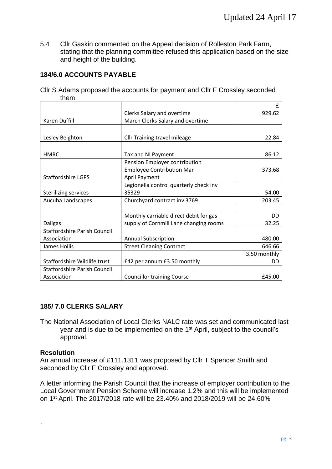5.4 Cllr Gaskin commented on the Appeal decision of Rolleston Park Farm, stating that the planning committee refused this application based on the size and height of the building.

# **184/6.0 ACCOUNTS PAYABLE**

|       | CIIr S Adams proposed the accounts for payment and CIIr F Crossley seconded |  |
|-------|-----------------------------------------------------------------------------|--|
| them. |                                                                             |  |

|                                     |                                        | f            |
|-------------------------------------|----------------------------------------|--------------|
|                                     | Clerks Salary and overtime             | 929.62       |
| Karen Duffill                       | March Clerks Salary and overtime       |              |
|                                     |                                        |              |
| Lesley Beighton                     | <b>Cllr Training travel mileage</b>    | 22.84        |
|                                     |                                        |              |
| <b>HMRC</b>                         | Tax and NI Payment                     | 86.12        |
|                                     | Pension Employer contribution          |              |
|                                     | <b>Employee Contribution Mar</b>       | 373.68       |
| <b>Staffordshire LGPS</b>           | <b>April Payment</b>                   |              |
|                                     | Legionella control quarterly check inv |              |
| <b>Sterilizing services</b>         | 35329                                  | 54.00        |
| Aucuba Landscapes                   | Churchyard contract inv 3769           | 203.45       |
|                                     |                                        |              |
|                                     | Monthly carriable direct debit for gas | DD           |
| <b>Daligas</b>                      | supply of Cornmill Lane changing rooms | 32.25        |
| <b>Staffordshire Parish Council</b> |                                        |              |
| Association                         | <b>Annual Subscription</b>             | 480.00       |
| James Hollis                        | <b>Street Cleaning Contract</b>        | 646.66       |
|                                     |                                        | 3.50 monthly |
| Staffordshire Wildlife trust        | £42 per annum £3.50 monthly            | DD           |
| <b>Staffordshire Parish Council</b> |                                        |              |
| Association                         | <b>Councillor training Course</b>      | £45.00       |

# **185/ 7.0 CLERKS SALARY**

The National Association of Local Clerks NALC rate was set and communicated last year and is due to be implemented on the 1<sup>st</sup> April, subject to the council's approval.

## **Resolution**

.

An annual increase of £111.1311 was proposed by Cllr T Spencer Smith and seconded by Cllr F Crossley and approved.

A letter informing the Parish Council that the increase of employer contribution to the Local Government Pension Scheme will increase 1.2% and this will be implemented on 1st April. The 2017/2018 rate will be 23.40% and 2018/2019 will be 24.60%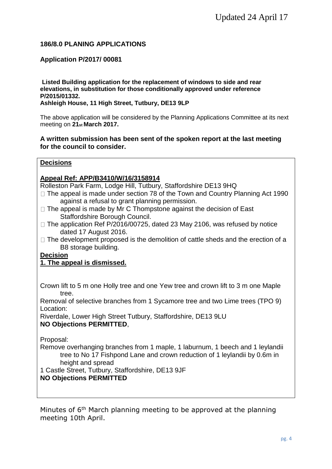## **186/8.0 PLANING APPLICATIONS**

## **Application P/2017/ 00081**

**Listed Building application for the replacement of windows to side and rear elevations, in substitution for those conditionally approved under reference P/2015/01332.** 

**Ashleigh House, 11 High Street, Tutbury, DE13 9LP** 

The above application will be considered by the Planning Applications Committee at its next meeting on **21st March 2017.** 

## **A written submission has been sent of the spoken report at the last meeting for the council to consider.**

## **Decisions**

## **Appeal Ref: APP/B3410/W/16/3158914**

Rolleston Park Farm, Lodge Hill, Tutbury, Staffordshire DE13 9HQ

- $\Box$  The appeal is made under section 78 of the Town and Country Planning Act 1990 against a refusal to grant planning permission.
- $\Box$  The appeal is made by Mr C Thompstone against the decision of East Staffordshire Borough Council.
- $\Box$  The application Ref P/2016/00725, dated 23 May 2106, was refused by notice dated 17 August 2016.
- $\Box$  The development proposed is the demolition of cattle sheds and the erection of a B8 storage building.

**Decision**

## **1. The appeal is dismissed.**

Crown lift to 5 m one Holly tree and one Yew tree and crown lift to 3 m one Maple tree.

Removal of selective branches from 1 Sycamore tree and two Lime trees (TPO 9) Location:

Riverdale, Lower High Street Tutbury, Staffordshire, DE13 9LU **NO Objections PERMITTED**,

Proposal:

Remove overhanging branches from 1 maple, 1 laburnum, 1 beech and 1 leylandii tree to No 17 Fishpond Lane and crown reduction of 1 leylandii by 0.6m in height and spread

1 Castle Street, Tutbury, Staffordshire, DE13 9JF

## **NO Objections PERMITTED**

Minutes of 6<sup>th</sup> March planning meeting to be approved at the planning meeting 10th April.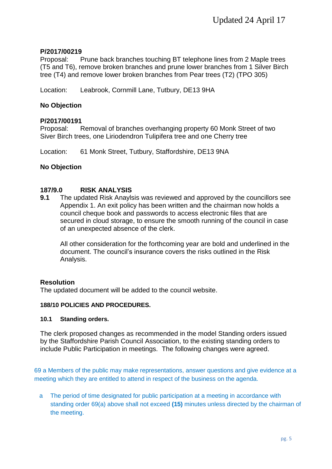## **P/2017/00219**

Proposal: Prune back branches touching BT telephone lines from 2 Maple trees (T5 and T6), remove broken branches and prune lower branches from 1 Silver Birch tree (T4) and remove lower broken branches from Pear trees (T2) (TPO 305)

Location: Leabrook, Cornmill Lane, Tutbury, DE13 9HA

## **No Objection**

## **P/2017/00191**

Proposal: Removal of branches overhanging property 60 Monk Street of two Siver Birch trees, one Liriodendron Tulipifera tree and one Cherry tree

Location: 61 Monk Street, Tutbury, Staffordshire, DE13 9NA

## **No Objection**

## **187/9.0 RISK ANALYSIS**

**9.1** The updated Risk Anaylsis was reviewed and approved by the councillors see Appendix 1. An exit policy has been written and the chairman now holds a council cheque book and passwords to access electronic files that are secured in cloud storage, to ensure the smooth running of the council in case of an unexpected absence of the clerk.

All other consideration for the forthcoming year are bold and underlined in the document. The council's insurance covers the risks outlined in the Risk Analysis.

#### **Resolution**

The updated document will be added to the council website.

#### **188/10 POLICIES AND PROCEDURES.**

#### **10.1 Standing orders.**

The clerk proposed changes as recommended in the model Standing orders issued by the Staffordshire Parish Council Association, to the existing standing orders to include Public Participation in meetings. The following changes were agreed.

69 a Members of the public may make representations, answer questions and give evidence at a meeting which they are entitled to attend in respect of the business on the agenda.

a The period of time designated for public participation at a meeting in accordance with standing order 69(a) above shall not exceed **(15)** minutes unless directed by the chairman of the meeting.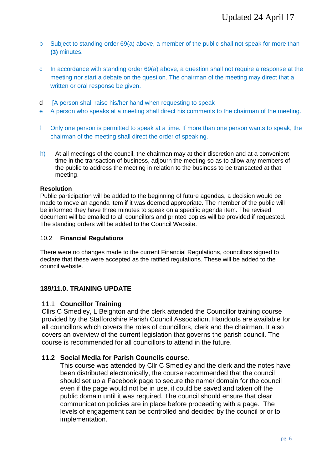- b Subject to standing order 69(a) above, a member of the public shall not speak for more than **(3)** minutes.
- c In accordance with standing order 69(a) above, a question shall not require a response at the meeting nor start a debate on the question. The chairman of the meeting may direct that a written or oral response be given.
- d [A person shall raise his/her hand when requesting to speak
- e A person who speaks at a meeting shall direct his comments to the chairman of the meeting.
- f Only one person is permitted to speak at a time. If more than one person wants to speak, the chairman of the meeting shall direct the order of speaking.
- h) At all meetings of the council, the chairman may at their discretion and at a convenient time in the transaction of business, adjourn the meeting so as to allow any members of the public to address the meeting in relation to the business to be transacted at that meeting.

#### **Resolution**

Public participation will be added to the beginning of future agendas, a decision would be made to move an agenda item if it was deemed appropriate. The member of the public will be informed they have three minutes to speak on a specific agenda item. The revised document will be emailed to all councillors and printed copies will be provided if requested. The standing orders will be added to the Council Website.

#### 10.2 **Financial Regulations**

There were no changes made to the current Financial Regulations, councillors signed to declare that these were accepted as the ratified regulations. These will be added to the council website.

## **189/11.0. TRAINING UPDATE**

#### 11.1 **Councillor Training**

Cllrs C Smedley, L Beighton and the clerk attended the Councillor training course provided by the Staffordshire Parish Council Association. Handouts are available for all councillors which covers the roles of councillors, clerk and the chairman. It also covers an overview of the current legislation that governs the parish council. The course is recommended for all councillors to attend in the future.

## **11.2 Social Media for Parish Councils course**.

This course was attended by Cllr C Smedley and the clerk and the notes have been distributed electronically, the course recommended that the council should set up a Facebook page to secure the name/ domain for the council even if the page would not be in use, it could be saved and taken off the public domain until it was required. The council should ensure that clear communication policies are in place before proceeding with a page. The levels of engagement can be controlled and decided by the council prior to implementation.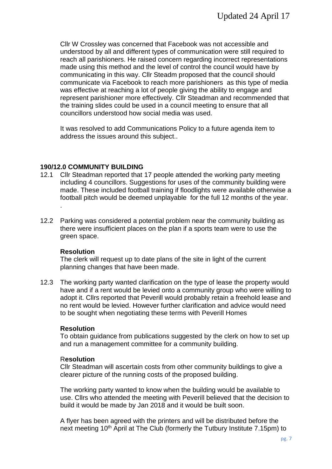Cllr W Crossley was concerned that Facebook was not accessible and understood by all and different types of communication were still required to reach all parishioners. He raised concern regarding incorrect representations made using this method and the level of control the council would have by communicating in this way. Cllr Steadm proposed that the council should communicate via Facebook to reach more parishioners as this type of media was effective at reaching a lot of people giving the ability to engage and represent parishioner more effectively. Cllr Steadman and recommended that the training slides could be used in a council meeting to ensure that all councillors understood how social media was used.

It was resolved to add Communications Policy to a future agenda item to address the issues around this subject..

## **190/12.0 COMMUNITY BUILDING**

- 12.1 Cllr Steadman reported that 17 people attended the working party meeting including 4 councillors. Suggestions for uses of the community building were made. These included football training if floodlights were available otherwise a football pitch would be deemed unplayable for the full 12 months of the year. .
- 12.2 Parking was considered a potential problem near the community building as there were insufficient places on the plan if a sports team were to use the green space.

#### **Resolution**

The clerk will request up to date plans of the site in light of the current planning changes that have been made.

12.3 The working party wanted clarification on the type of lease the property would have and if a rent would be levied onto a community group who were willing to adopt it. Cllrs reported that Peverill would probably retain a freehold lease and no rent would be levied. However further clarification and advice would need to be sought when negotiating these terms with Peverill Homes

#### **Resolution**

To obtain guidance from publications suggested by the clerk on how to set up and run a management committee for a community building.

#### R**esolution**

Cllr Steadman will ascertain costs from other community buildings to give a clearer picture of the running costs of the proposed building.

The working party wanted to know when the building would be available to use. Cllrs who attended the meeting with Peverill believed that the decision to build it would be made by Jan 2018 and it would be built soon.

A flyer has been agreed with the printers and will be distributed before the next meeting 10<sup>th</sup> April at The Club (formerly the Tutbury Institute 7.15pm) to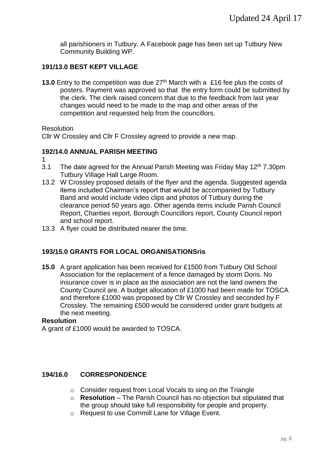all parishioners in Tutbury. A Facebook page has been set up Tutbury New Community Building WP.

# **191/13.0 BEST KEPT VILLAGE**

**13.0** Entry to the competition was due 27<sup>th</sup> March with a £16 fee plus the costs of posters. Payment was approved so that the entry form could be submitted by the clerk. The clerk raised concern that due to the feedback from last year changes would need to be made to the map and other areas of the competition and requested help from the councillors.

Resolution

Cllr W Crossley and Cllr F Crossley agreed to provide a new map.

## **192/14.0 ANNUAL PARISH MEETING**

- 1
- 3.1 The date agreed for the Annual Parish Meeting was Friday May  $12<sup>th</sup>$  7.30pm Tutbury Village Hall Large Room.
- 13.2 W Crossley proposed details of the flyer and the agenda. Suggested agenda items included Chairman's report that would be accompanied by Tutbury Band and would include video clips and photos of Tutbury during the clearance period 50 years ago. Other agenda items include Parish Council Report, Charities report, Borough Councillors report, County Council report and school report.
- 13.3 A flyer could be distributed nearer the time.

# **193/15.0 GRANTS FOR LOCAL ORGANISATIONSris**

**15.0** A grant application has been received for £1500 from Tutbury Old School Association for the replacement of a fence damaged by storm Doris. No insurance cover is in place as the association are not the land owners the County Council are. A budget allocation of £1000 had been made for TOSCA and therefore £1000 was proposed by Cllr W Crossley and seconded by F Crossley. The remaining £500 would be considered under grant budgets at the next meeting.

# **Resolution**

A grant of £1000 would be awarded to TOSCA.

# **194/16.0 CORRESPONDENCE**

- o Consider request from Local Vocals to sing on the Triangle
- o **Resolution** The Parish Council has no objection but stipulated that the group should take full responsibility for people and property.
- o Request to use Cornmill Lane for Village Event.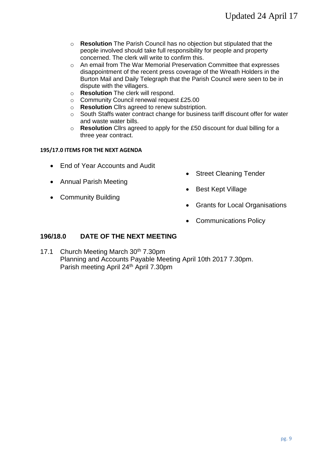- o **Resolution** The Parish Council has no objection but stipulated that the people involved should take full responsibility for people and property concerned. The clerk will write to confirm this.
- o An email from The War Memorial Preservation Committee that expresses disappointment of the recent press coverage of the Wreath Holders in the Burton Mail and Daily Telegraph that the Parish Council were seen to be in dispute with the villagers.
- o **Resolution** The clerk will respond.
- o Community Council renewal request £25.00
- o **Resolution** Cllrs agreed to renew substription.
- $\circ$  South Staffs water contract change for business tariff discount offer for water and waste water bills.
- o **Resolution** Cllrs agreed to apply for the £50 discount for dual billing for a three year contract.

#### **195/17.0 ITEMS FOR THE NEXT AGENDA**

- End of Year Accounts and Audit
- Annual Parish Meeting
- Community Building
- Street Cleaning Tender
- **Best Kept Village**
- Grants for Local Organisations
- Communications Policy

## **196/18.0 DATE OF THE NEXT MEETING**

17.1 Church Meeting March 30<sup>th</sup> 7.30pm Planning and Accounts Payable Meeting April 10th 2017 7.30pm. Parish meeting April 24<sup>th</sup> April 7.30pm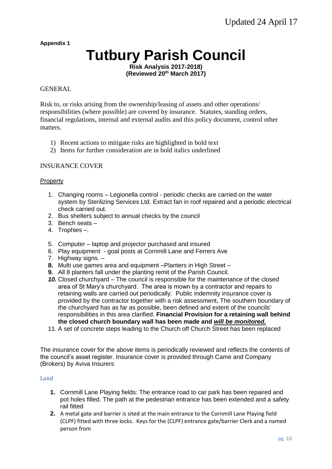**Appendix 1**

# **Tutbury Parish Council**

**Risk Analysis 2017-2018) (Reviewed 20th March 2017)**

#### GENERAL

Risk to, or risks arising from the ownership/leasing of assets and other operations/ responsibilities (where possible) are covered by insurance. Statutes, standing orders, financial regulations, internal and external audits and this policy document, control other matters.

- 1) Recent actions to mitigate risks are highlighted in bold text
- 2) Items for further consideration are in bold italics underlined

#### INSURANCE COVER

#### Property

- 1. Changing rooms Legionella control periodic checks are carried on the water system by Sterilizing Services Ltd. Extract fan in roof repaired and a periodic electrical check carried out.
- 2. Bus shelters subject to annual checks by the council
- 3. Bench seats –
- 4. Trophies –.
- 5. Computer laptop and projector purchased and insured
- 6. Play equipment goal posts at Cornmill Lane and Ferrers Ave
- 7. Highway signs. –
- **8.** Multi use games area and equipment –Planters in High Street –
- **9.** All 8 planters fall under the planting remit of the Parish Council.
- *10.* Closed churchyard The council is responsible for the maintenance of the closed area of St Mary's churchyard. The area is mown by a contractor and repairs to retaining walls are carried out periodically. Public indemnity insurance cover is provided by the contractor together with a risk assessment**.** The southern boundary of the churchyard has as far as possible, been defined and extent of the councils' responsibilities in this area clarified. **Financial Provision for a retaining wall behind the closed church boundary wall has been made and** *will be monitored.*
- 11. A set of concrete steps leading to the Church off Church Street has been replaced

The insurance cover for the above items is periodically reviewed and reflects the contents of the council's asset register. Insurance cover is provided through Came and Company (Brokers) by Aviva Insurers

#### Land

- **1.** Cornmill Lane Playing fields: The entrance road to car park has been repaired and pot holes filled. The path at the pedestrian entrance has been extended and a safety rail fitted
- **2.** A metal gate and barrier is sited at the main entrance to the Cornmill Lane Playing field (CLPF) fitted with three locks. Keys for the (CLPF) entrance gate/barrier Clerk and a named person from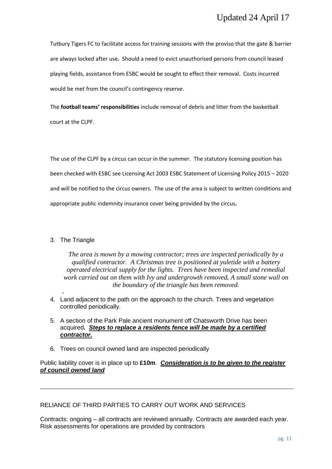Tutbury Tigers FC to facilitate access for training sessions with the proviso that the gate & barrier are always locked after use**.** Should a need to evict unauthorised persons from council leased playing fields, assistance from ESBC would be sought to effect their removal. Costs incurred would be met from the council's contingency reserve.

The **football teams' responsibilities** include removal of debris and litter from the basketball court at the CLPF.

The use of the CLPF by a circus can occur in the summer. The statutory licensing position has been checked with ESBC see Licensing Act 2003 ESBC Statement of Licensing Policy 2015 – 2020 and will be notified to the circus owners. The use of the area is subject to written conditions and appropriate public indemnity insurance cover being provided by the circus*.*

### 3. The Triangle

*The area is mown by a mowing contractor; trees are inspected periodically by a qualified contractor. A Christmas tree is positioned at yuletide with a battery operated electrical supply for the lights. Trees have been inspected and remedial work carried out on them with Ivy and undergrowth removed. A small stone wall on the boundary of the triangle has been removed.*

- 4. Land adjacent to the path on the approach to the church. Trees and vegetation controlled periodically.
- 5. A section of the Park Pale ancient monument off Chatsworth Drive has been acquired**.** *Steps to replace a residents fence will be made by a certified contractor.*
- 6. Trees on council owned land are inspected periodically

Public liability cover is in place up to **£10m**. *Consideration is to be given to the register of council owned land*

RELIANCE OF THIRD PARTIES TO CARRY OUT WORK AND SERVICES

Contracts: ongoing – all contracts are reviewed annually. Contracts are awarded each year. Risk assessments for operations are provided by contractors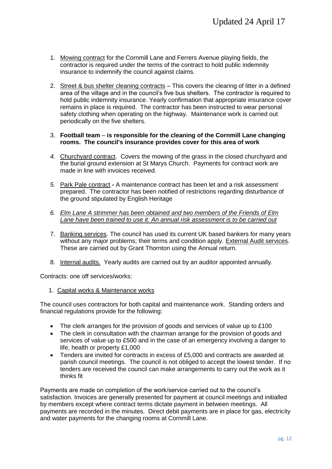- 1. Mowing contract for the Cornmill Lane and Ferrers Avenue playing fields, the contractor is required under the terms of the contract to hold public indemnity insurance to indemnify the council against claims.
- 2. Street & bus shelter cleaning contracts This covers the clearing of litter in a defined area of the village and in the council's five bus shelters. The contractor is required to hold public indemnity insurance. Yearly confirmation that appropriate insurance cover remains in place is required. The contractor has been instructed to wear personal safety clothing when operating on the highway. Maintenance work is carried out periodically on the five shelters.
- 3. **Football team is responsible for the cleaning of the Cornmill Lane changing rooms. The council's insurance provides cover for this area of work**
- *4.* Churchyard contract. Covers the mowing of the grass in the closed churchyard and the burial ground extension at St Marys Church. Payments for contract work are made in line with invoices received.
- *5.* Park Pale contract **-** A maintenance contract has been let and a risk assessment prepared. The contractor has been notified of restrictions regarding disturbance of the ground stipulated by English Heritage
- *6. Elm Lane A strimmer has been obtained and two members of the Friends of Elm Lane have been trained to use it. An annual risk assessment is to be carried out*
- 7. Banking services. The council has used its current UK based bankers for many years without any major problems; their terms and condition apply. External Audit services. These are carried out by Grant Thornton using the Annual return.
- 8. Internal audits. Yearly audits are carried out by an auditor appointed annually.

Contracts: one off services/works:

1. Capital works & Maintenance works

The council uses contractors for both capital and maintenance work. Standing orders and financial regulations provide for the following:

- The clerk arranges for the provision of goods and services of value up to £100
- The clerk in consultation with the chairman arrange for the provision of goods and services of value up to £500 and in the case of an emergency involving a danger to life, health or property £1,000
- Tenders are invited for contracts in excess of £5,000 and contracts are awarded at parish council meetings. The council is not obliged to accept the lowest tender. If no tenders are received the council can make arrangements to carry out the work as it thinks fit

Payments are made on completion of the work/service carried out to the council's satisfaction. Invoices are generally presented for payment at council meetings and initialled by members except where contract terms dictate payment in between meetings. All payments are recorded in the minutes. Direct debit payments are in place for gas, electricity and water payments for the changing rooms at Cornmill Lane.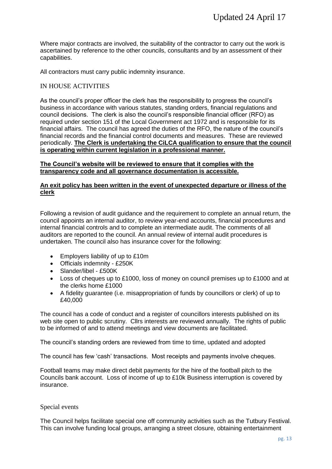Where major contracts are involved, the suitability of the contractor to carry out the work is ascertained by reference to the other councils, consultants and by an assessment of their capabilities.

All contractors must carry public indemnity insurance.

#### IN HOUSE ACTIVITIES

As the council's proper officer the clerk has the responsibility to progress the council's business in accordance with various statutes, standing orders, financial regulations and council decisions. The clerk is also the council's responsible financial officer (RFO) as required under section 151 of the Local Government act 1972 and is responsible for its financial affairs. The council has agreed the duties of the RFO, the nature of the council's financial records and the financial control documents and measures. These are reviewed periodically. **The Clerk is undertaking the CiLCA qualification to ensure that the council is operating within current legislation in a professional manner.**

#### **The Council's website will be reviewed to ensure that it complies with the transparency code and all governance documentation is accessible.**

#### **An exit policy has been written in the event of unexpected departure or illness of the clerk**

Following a revision of audit guidance and the requirement to complete an annual return, the council appoints an internal auditor, to review year-end accounts, financial procedures and internal financial controls and to complete an intermediate audit. The comments of all auditors are reported to the council. An annual review of internal audit procedures is undertaken. The council also has insurance cover for the following:

- Employers liability of up to £10m
- Officials indemnity £250K
- Slander/libel £500K
- Loss of cheques up to £1000, loss of money on council premises up to £1000 and at the clerks home £1000
- A fidelity guarantee (i.e. misappropriation of funds by councillors or clerk) of up to £40,000

The council has a code of conduct and a register of councillors interests published on its web site open to public scrutiny. Cllrs interests are reviewed annually. The rights of public to be informed of and to attend meetings and view documents are facilitated.

The council's standing orders are reviewed from time to time, updated and adopted

The council has few 'cash' transactions. Most receipts and payments involve cheques.

Football teams may make direct debit payments for the hire of the football pitch to the Councils bank account. Loss of income of up to £10k Business interruption is covered by insurance.

#### Special events

The Council helps facilitate special one off community activities such as the Tutbury Festival. This can involve funding local groups, arranging a street closure, obtaining entertainment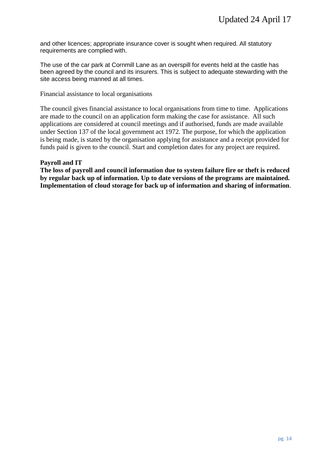and other licences; appropriate insurance cover is sought when required. All statutory requirements are complied with.

The use of the car park at Cornmill Lane as an overspill for events held at the castle has been agreed by the council and its insurers. This is subject to adequate stewarding with the site access being manned at all times.

Financial assistance to local organisations

The council gives financial assistance to local organisations from time to time. Applications are made to the council on an application form making the case for assistance. All such applications are considered at council meetings and if authorised, funds are made available under Section 137 of the local government act 1972. The purpose, for which the application is being made, is stated by the organisation applying for assistance and a receipt provided for funds paid is given to the council. Start and completion dates for any project are required.

#### **Payroll and IT**

**The loss of payroll and council information due to system failure fire or theft is reduced by regular back up of information. Up to date versions of the programs are maintained. Implementation of cloud storage for back up of information and sharing of information**.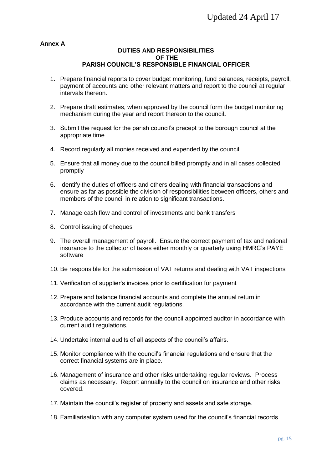#### **Annex A**

#### **DUTIES AND RESPONSIBILITIES OF THE PARISH COUNCIL'S RESPONSIBLE FINANCIAL OFFICER**

- 1. Prepare financial reports to cover budget monitoring, fund balances, receipts, payroll, payment of accounts and other relevant matters and report to the council at regular intervals thereon.
- 2. Prepare draft estimates, when approved by the council form the budget monitoring mechanism during the year and report thereon to the council**.**
- 3. Submit the request for the parish council's precept to the borough council at the appropriate time
- 4. Record regularly all monies received and expended by the council
- 5. Ensure that all money due to the council billed promptly and in all cases collected promptly
- 6. Identify the duties of officers and others dealing with financial transactions and ensure as far as possible the division of responsibilities between officers, others and members of the council in relation to significant transactions.
- 7. Manage cash flow and control of investments and bank transfers
- 8. Control issuing of cheques
- 9. The overall management of payroll. Ensure the correct payment of tax and national insurance to the collector of taxes either monthly or quarterly using HMRC's PAYE software
- 10. Be responsible for the submission of VAT returns and dealing with VAT inspections
- 11. Verification of supplier's invoices prior to certification for payment
- 12. Prepare and balance financial accounts and complete the annual return in accordance with the current audit regulations.
- 13. Produce accounts and records for the council appointed auditor in accordance with current audit regulations.
- 14. Undertake internal audits of all aspects of the council's affairs.
- 15. Monitor compliance with the council's financial regulations and ensure that the correct financial systems are in place.
- 16. Management of insurance and other risks undertaking regular reviews. Process claims as necessary. Report annually to the council on insurance and other risks covered.
- 17. Maintain the council's register of property and assets and safe storage.
- 18. Familiarisation with any computer system used for the council's financial records.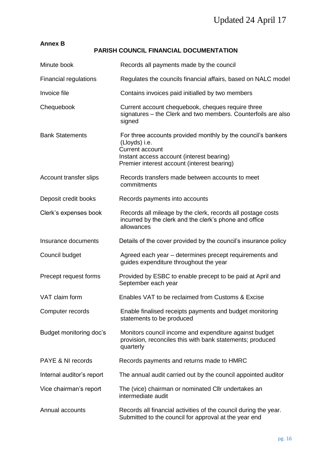| <b>Annex B</b>               | <b>PARISH COUNCIL FINANCIAL DOCUMENTATION</b>                                                                                                                                                       |
|------------------------------|-----------------------------------------------------------------------------------------------------------------------------------------------------------------------------------------------------|
| Minute book                  | Records all payments made by the council                                                                                                                                                            |
| <b>Financial regulations</b> | Regulates the councils financial affairs, based on NALC model                                                                                                                                       |
| Invoice file                 | Contains invoices paid initialled by two members                                                                                                                                                    |
| Chequebook                   | Current account chequebook, cheques require three<br>signatures – the Clerk and two members. Counterfoils are also<br>signed                                                                        |
| <b>Bank Statements</b>       | For three accounts provided monthly by the council's bankers<br>(Lloyds) i.e.<br><b>Current account</b><br>Instant access account (interest bearing)<br>Premier interest account (interest bearing) |
| Account transfer slips       | Records transfers made between accounts to meet<br>commitments                                                                                                                                      |
| Deposit credit books         | Records payments into accounts                                                                                                                                                                      |
| Clerk's expenses book        | Records all mileage by the clerk, records all postage costs<br>incurred by the clerk and the clerk's phone and office<br>allowances                                                                 |
| Insurance documents          | Details of the cover provided by the council's insurance policy                                                                                                                                     |
| Council budget               | Agreed each year – determines precept requirements and<br>guides expenditure throughout the year                                                                                                    |
| Precept request forms        | Provided by ESBC to enable precept to be paid at April and<br>September each year                                                                                                                   |
| VAT claim form               | Enables VAT to be reclaimed from Customs & Excise                                                                                                                                                   |
| Computer records             | Enable finalised receipts payments and budget monitoring<br>statements to be produced                                                                                                               |
| Budget monitoring doc's      | Monitors council income and expenditure against budget<br>provision, reconciles this with bank statements; produced<br>quarterly                                                                    |
| PAYE & NI records            | Records payments and returns made to HMRC                                                                                                                                                           |
| Internal auditor's report    | The annual audit carried out by the council appointed auditor                                                                                                                                       |
| Vice chairman's report       | The (vice) chairman or nominated Cllr undertakes an<br>intermediate audit                                                                                                                           |
| Annual accounts              | Records all financial activities of the council during the year.<br>Submitted to the council for approval at the year end                                                                           |